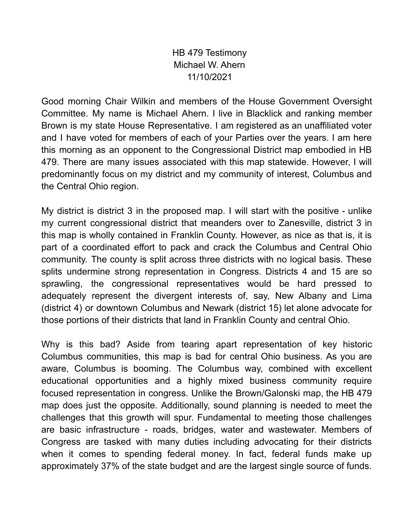HB 479 Testimony Michael W. Ahern 11/10/2021

Good morning Chair Wilkin and members of the House Government Oversight Committee. My name is Michael Ahern. I live in Blacklick and ranking member Brown is my state House Representative. I am registered as an unaffiliated voter and I have voted for members of each of your Parties over the years. I am here this morning as an opponent to the Congressional District map embodied in HB 479. There are many issues associated with this map statewide. However, I will predominantly focus on my district and my community of interest, Columbus and the Central Ohio region.

My district is district 3 in the proposed map. I will start with the positive - unlike my current congressional district that meanders over to Zanesville, district 3 in this map is wholly contained in Franklin County. However, as nice as that is, it is part of a coordinated effort to pack and crack the Columbus and Central Ohio community. The county is split across three districts with no logical basis. These splits undermine strong representation in Congress. Districts 4 and 15 are so sprawling, the congressional representatives would be hard pressed to adequately represent the divergent interests of, say, New Albany and Lima (district 4) or downtown Columbus and Newark (district 15) let alone advocate for those portions of their districts that land in Franklin County and central Ohio.

Why is this bad? Aside from tearing apart representation of key historic Columbus communities, this map is bad for central Ohio business. As you are aware, Columbus is booming. The Columbus way, combined with excellent educational opportunities and a highly mixed business community require focused representation in congress. Unlike the Brown/Galonski map, the HB 479 map does just the opposite. Additionally, sound planning is needed to meet the challenges that this growth will spur. Fundamental to meeting those challenges are basic infrastructure - roads, bridges, water and wastewater. Members of Congress are tasked with many duties including advocating for their districts when it comes to spending federal money. In fact, federal funds make up approximately 37% of the state budget and are the largest single source of funds.